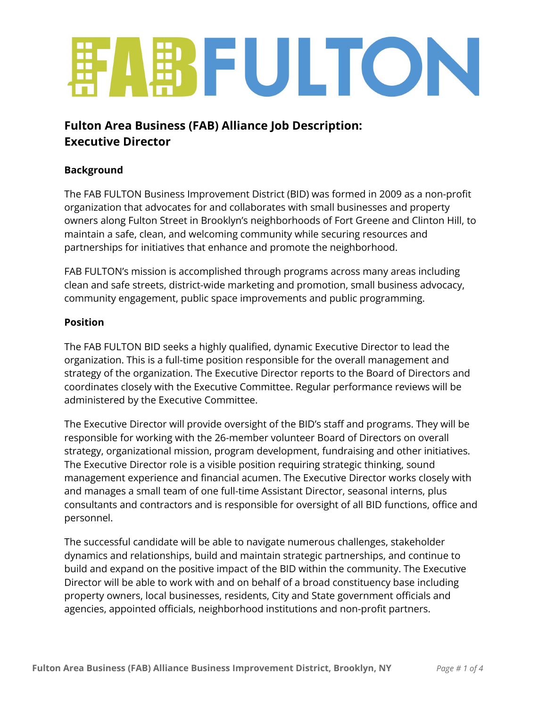# **ENFULTON**

# **Fulton Area Business (FAB) Alliance Job Description: Executive Director**

## **Background**

The FAB FULTON Business Improvement District (BID) was formed in 2009 as a non-profit organization that advocates for and collaborates with small businesses and property owners along Fulton Street in Brooklyn's neighborhoods of Fort Greene and Clinton Hill, to maintain a safe, clean, and welcoming community while securing resources and partnerships for initiatives that enhance and promote the neighborhood.

FAB FULTON's mission is accomplished through programs across many areas including clean and safe streets, district-wide marketing and promotion, small business advocacy, community engagement, public space improvements and public programming.

#### **Position**

The FAB FULTON BID seeks a highly qualified, dynamic Executive Director to lead the organization. This is a full-time position responsible for the overall management and strategy of the organization. The Executive Director reports to the Board of Directors and coordinates closely with the Executive Committee. Regular performance reviews will be administered by the Executive Committee.

The Executive Director will provide oversight of the BID's staff and programs. They will be responsible for working with the 26-member volunteer Board of Directors on overall strategy, organizational mission, program development, fundraising and other initiatives. The Executive Director role is a visible position requiring strategic thinking, sound management experience and financial acumen. The Executive Director works closely with and manages a small team of one full-time Assistant Director, seasonal interns, plus consultants and contractors and is responsible for oversight of all BID functions, office and personnel.

The successful candidate will be able to navigate numerous challenges, stakeholder dynamics and relationships, build and maintain strategic partnerships, and continue to build and expand on the positive impact of the BID within the community. The Executive Director will be able to work with and on behalf of a broad constituency base including property owners, local businesses, residents, City and State government officials and agencies, appointed officials, neighborhood institutions and non-profit partners.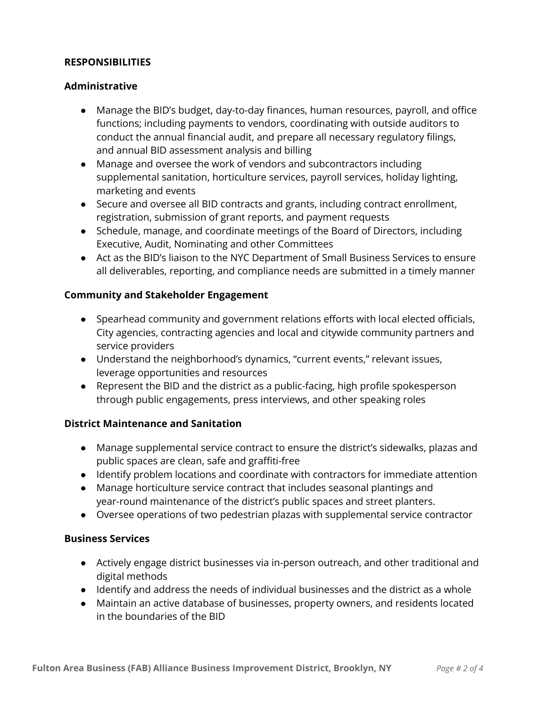#### **RESPONSIBILITIES**

#### **Administrative**

- Manage the BID's budget, day-to-day finances, human resources, payroll, and office functions; including payments to vendors, coordinating with outside auditors to conduct the annual financial audit, and prepare all necessary regulatory filings, and annual BID assessment analysis and billing
- Manage and oversee the work of vendors and subcontractors including supplemental sanitation, horticulture services, payroll services, holiday lighting, marketing and events
- Secure and oversee all BID contracts and grants, including contract enrollment, registration, submission of grant reports, and payment requests
- Schedule, manage, and coordinate meetings of the Board of Directors, including Executive, Audit, Nominating and other Committees
- Act as the BID's liaison to the NYC Department of Small Business Services to ensure all deliverables, reporting, and compliance needs are submitted in a timely manner

#### **Community and Stakeholder Engagement**

- Spearhead community and government relations efforts with local elected officials, City agencies, contracting agencies and local and citywide community partners and service providers
- Understand the neighborhood's dynamics, "current events," relevant issues, leverage opportunities and resources
- Represent the BID and the district as a public-facing, high profile spokesperson through public engagements, press interviews, and other speaking roles

#### **District Maintenance and Sanitation**

- Manage supplemental service contract to ensure the district's sidewalks, plazas and public spaces are clean, safe and graffiti-free
- Identify problem locations and coordinate with contractors for immediate attention
- Manage horticulture service contract that includes seasonal plantings and year-round maintenance of the district's public spaces and street planters.
- Oversee operations of two pedestrian plazas with supplemental service contractor

#### **Business Services**

- Actively engage district businesses via in-person outreach, and other traditional and digital methods
- Identify and address the needs of individual businesses and the district as a whole
- Maintain an active database of businesses, property owners, and residents located in the boundaries of the BID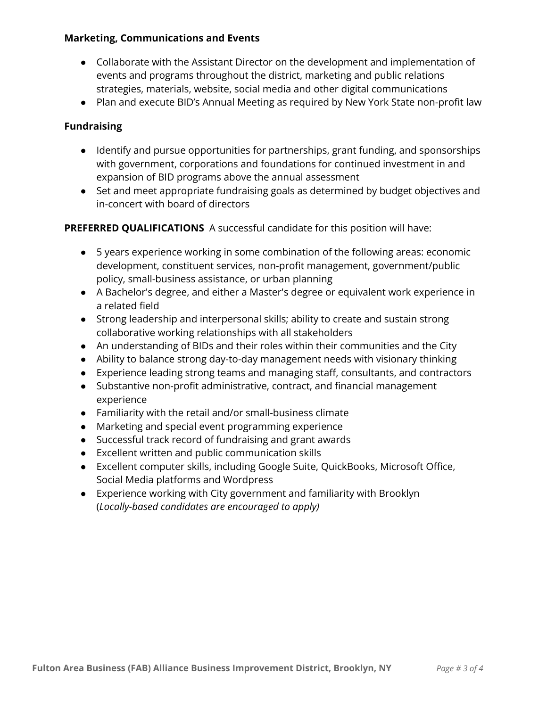#### **Marketing, Communications and Events**

- Collaborate with the Assistant Director on the development and implementation of events and programs throughout the district, marketing and public relations strategies, materials, website, social media and other digital communications
- Plan and execute BID's Annual Meeting as required by New York State non-profit law

#### **Fundraising**

- Identify and pursue opportunities for partnerships, grant funding, and sponsorships with government, corporations and foundations for continued investment in and expansion of BID programs above the annual assessment
- Set and meet appropriate fundraising goals as determined by budget objectives and in-concert with board of directors

#### **PREFERRED QUALIFICATIONS** A successful candidate for this position will have:

- 5 years experience working in some combination of the following areas: economic development, constituent services, non-profit management, government/public policy, small-business assistance, or urban planning
- A Bachelor's degree, and either a Master's degree or equivalent work experience in a related field
- Strong leadership and interpersonal skills; ability to create and sustain strong collaborative working relationships with all stakeholders
- An understanding of BIDs and their roles within their communities and the City
- Ability to balance strong day-to-day management needs with visionary thinking
- Experience leading strong teams and managing staff, consultants, and contractors
- Substantive non-profit administrative, contract, and financial management experience
- Familiarity with the retail and/or small-business climate
- Marketing and special event programming experience
- Successful track record of fundraising and grant awards
- Excellent written and public communication skills
- Excellent computer skills, including Google Suite, QuickBooks, Microsoft Office, Social Media platforms and Wordpress
- Experience working with City government and familiarity with Brooklyn (*Locally-based candidates are encouraged to apply)*